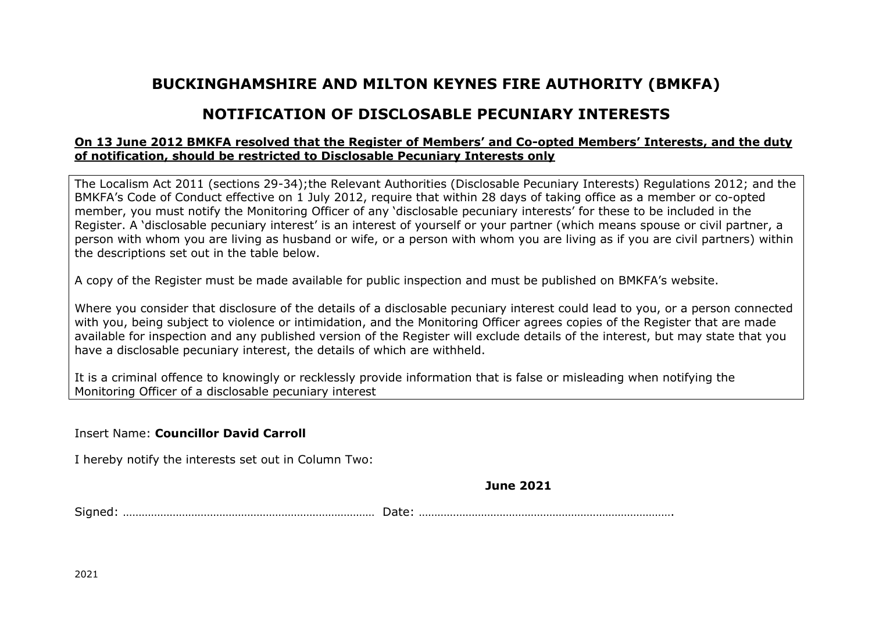## **BUCKINGHAMSHIRE AND MILTON KEYNES FIRE AUTHORITY (BMKFA)**

## **NOTIFICATION OF DISCLOSABLE PECUNIARY INTERESTS**

## **On 13 June 2012 BMKFA resolved that the Register of Members' and Co-opted Members' Interests, and the duty of notification, should be restricted to Disclosable Pecuniary Interests only**

The Localism Act 2011 (sections 29-34);the Relevant Authorities (Disclosable Pecuniary Interests) Regulations 2012; and the BMKFA's Code of Conduct effective on 1 July 2012, require that within 28 days of taking office as a member or co-opted member, you must notify the Monitoring Officer of any 'disclosable pecuniary interests' for these to be included in the Register. A 'disclosable pecuniary interest' is an interest of yourself or your partner (which means spouse or civil partner, a person with whom you are living as husband or wife, or a person with whom you are living as if you are civil partners) within the descriptions set out in the table below.

A copy of the Register must be made available for public inspection and must be published on BMKFA's website.

Where you consider that disclosure of the details of a disclosable pecuniary interest could lead to you, or a person connected with you, being subject to violence or intimidation, and the Monitoring Officer agrees copies of the Register that are made available for inspection and any published version of the Register will exclude details of the interest, but may state that you have a disclosable pecuniary interest, the details of which are withheld.

It is a criminal offence to knowingly or recklessly provide information that is false or misleading when notifying the Monitoring Officer of a disclosable pecuniary interest

Insert Name: **Councillor David Carroll**

I hereby notify the interests set out in Column Two:

**June 2021**

Signed: ……………………………………………………………………… Date: ……………………………………………………………………….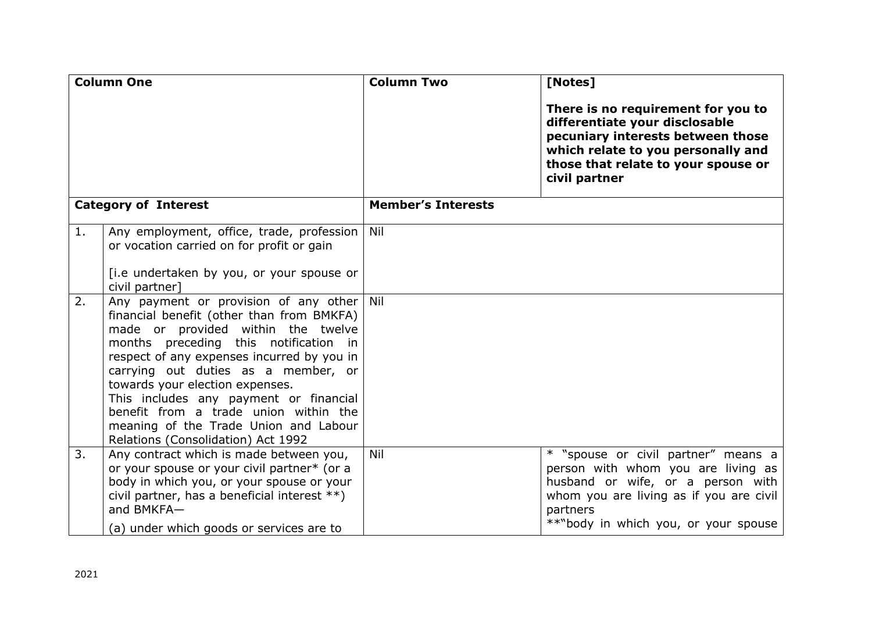| <b>Column One</b>           |                                                                                                                                                                                                                                                                                                                                                                                                                                                                 | <b>Column Two</b>         | [Notes]                                                                                                                                                                                                       |
|-----------------------------|-----------------------------------------------------------------------------------------------------------------------------------------------------------------------------------------------------------------------------------------------------------------------------------------------------------------------------------------------------------------------------------------------------------------------------------------------------------------|---------------------------|---------------------------------------------------------------------------------------------------------------------------------------------------------------------------------------------------------------|
|                             |                                                                                                                                                                                                                                                                                                                                                                                                                                                                 |                           | There is no requirement for you to<br>differentiate your disclosable<br>pecuniary interests between those<br>which relate to you personally and<br>those that relate to your spouse or<br>civil partner       |
| <b>Category of Interest</b> |                                                                                                                                                                                                                                                                                                                                                                                                                                                                 | <b>Member's Interests</b> |                                                                                                                                                                                                               |
| 1.                          | Any employment, office, trade, profession<br>or vocation carried on for profit or gain<br>[i.e undertaken by you, or your spouse or<br>civil partner]                                                                                                                                                                                                                                                                                                           | Nil                       |                                                                                                                                                                                                               |
| 2.                          | Any payment or provision of any other Nil<br>financial benefit (other than from BMKFA)<br>made or provided within the twelve<br>months preceding this notification in<br>respect of any expenses incurred by you in<br>carrying out duties as a member, or<br>towards your election expenses.<br>This includes any payment or financial<br>benefit from a trade union within the<br>meaning of the Trade Union and Labour<br>Relations (Consolidation) Act 1992 |                           |                                                                                                                                                                                                               |
| 3.                          | Any contract which is made between you,<br>or your spouse or your civil partner* (or a<br>body in which you, or your spouse or your<br>civil partner, has a beneficial interest **)<br>and BMKFA-<br>(a) under which goods or services are to                                                                                                                                                                                                                   | Nil                       | * "spouse or civil partner" means a<br>person with whom you are living as<br>husband or wife, or a person with<br>whom you are living as if you are civil<br>partners<br>**"body in which you, or your spouse |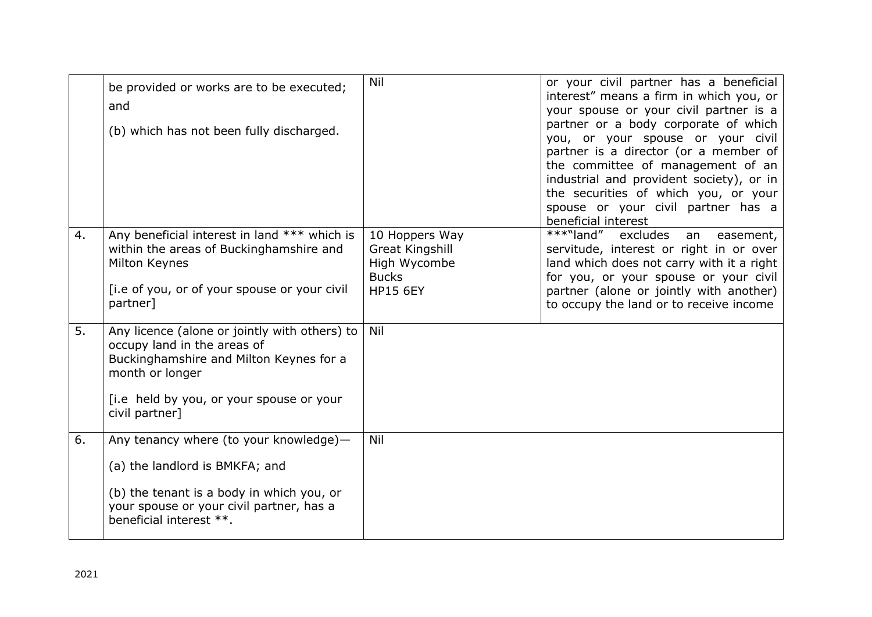|    | be provided or works are to be executed;<br>and<br>(b) which has not been fully discharged.                                                                                                              | Nil                                                                                         | or your civil partner has a beneficial<br>interest" means a firm in which you, or<br>your spouse or your civil partner is a<br>partner or a body corporate of which<br>you, or your spouse or your civil<br>partner is a director (or a member of<br>the committee of management of an<br>industrial and provident society), or in<br>the securities of which you, or your<br>spouse or your civil partner has a<br>beneficial interest |
|----|----------------------------------------------------------------------------------------------------------------------------------------------------------------------------------------------------------|---------------------------------------------------------------------------------------------|-----------------------------------------------------------------------------------------------------------------------------------------------------------------------------------------------------------------------------------------------------------------------------------------------------------------------------------------------------------------------------------------------------------------------------------------|
| 4. | Any beneficial interest in land *** which is<br>within the areas of Buckinghamshire and<br>Milton Keynes<br>[i.e of you, or of your spouse or your civil<br>partner]                                     | 10 Hoppers Way<br><b>Great Kingshill</b><br>High Wycombe<br><b>Bucks</b><br><b>HP15 6EY</b> | ***"land"<br>excludes<br>an<br>easement,<br>servitude, interest or right in or over<br>land which does not carry with it a right<br>for you, or your spouse or your civil<br>partner (alone or jointly with another)<br>to occupy the land or to receive income                                                                                                                                                                         |
| 5. | Any licence (alone or jointly with others) to<br>occupy land in the areas of<br>Buckinghamshire and Milton Keynes for a<br>month or longer<br>[i.e held by you, or your spouse or your<br>civil partner] | Nil                                                                                         |                                                                                                                                                                                                                                                                                                                                                                                                                                         |
| 6. | Any tenancy where (to your knowledge)-<br>(a) the landlord is BMKFA; and<br>(b) the tenant is a body in which you, or<br>your spouse or your civil partner, has a<br>beneficial interest **.             | Nil                                                                                         |                                                                                                                                                                                                                                                                                                                                                                                                                                         |